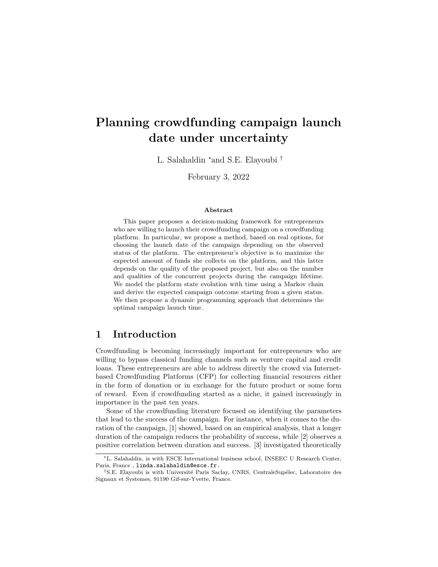# Planning crowdfunding campaign launch date under uncertainty

L. Salahaldin <sup>∗</sup>and S.E. Elayoubi †

February 3, 2022

#### Abstract

This paper proposes a decision-making framework for entrepreneurs who are willing to launch their crowdfunding campaign on a crowdfunding platform. In particular, we propose a method, based on real options, for choosing the launch date of the campaign depending on the observed status of the platform. The entrepreneur's objective is to maximize the expected amount of funds she collects on the platform, and this latter depends on the quality of the proposed project, but also on the number and qualities of the concurrent projects during the campaign lifetime. We model the platform state evolution with time using a Markov chain and derive the expected campaign outcome starting from a given status. We then propose a dynamic programming approach that determines the optimal campaign launch time.

# 1 Introduction

Crowdfunding is becoming increasingly important for entrepreneurs who are willing to bypass classical funding channels such as venture capital and credit loans. These entrepreneurs are able to address directly the crowd via Internetbased Crowdfunding Platforms (CFP) for collecting financial resources either in the form of donation or in exchange for the future product or some form of reward. Even if crowdfunding started as a niche, it gained increasingly in importance in the past ten years.

Some of the crowdfunding literature focused on identifying the parameters that lead to the success of the campaign. For instance, when it comes to the duration of the campaign, [1] showed, based on an empirical analysis, that a longer duration of the campaign reduces the probability of success, while [2] observes a positive correlation between duration and success. [3] investigated theoretically

<sup>∗</sup>L. Salahaldin, is with ESCE International business school, INSEEC U Research Center, Paris, France, linda.salahaldin@esce.fr.

<sup>&</sup>lt;sup>†</sup>S.E. Elayoubi is with Université Paris Saclay, CNRS, CentraleSupélec, Laboratoire des Signaux et Systemes, 91190 Gif-sur-Yvette, France.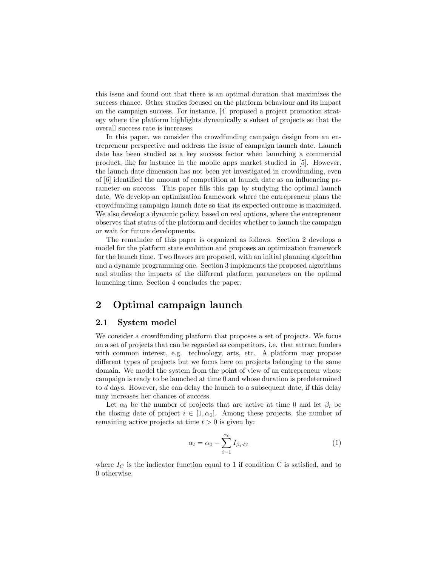this issue and found out that there is an optimal duration that maximizes the success chance. Other studies focused on the platform behaviour and its impact on the campaign success. For instance, [4] proposed a project promotion strategy where the platform highlights dynamically a subset of projects so that the overall success rate is increases.

In this paper, we consider the crowdfunding campaign design from an entrepreneur perspective and address the issue of campaign launch date. Launch date has been studied as a key success factor when launching a commercial product, like for instance in the mobile apps market studied in [5]. However, the launch date dimension has not been yet investigated in crowdfunding, even of [6] identified the amount of competition at launch date as an influencing parameter on success. This paper fills this gap by studying the optimal launch date. We develop an optimization framework where the entrepreneur plans the crowdfunding campaign launch date so that its expected outcome is maximized. We also develop a dynamic policy, based on real options, where the entrepreneur observes that status of the platform and decides whether to launch the campaign or wait for future developments.

The remainder of this paper is organized as follows. Section 2 develops a model for the platform state evolution and proposes an optimization framework for the launch time. Two flavors are proposed, with an initial planning algorithm and a dynamic programming one. Section 3 implements the proposed algorithms and studies the impacts of the different platform parameters on the optimal launching time. Section 4 concludes the paper.

# 2 Optimal campaign launch

### 2.1 System model

We consider a crowdfunding platform that proposes a set of projects. We focus on a set of projects that can be regarded as competitors, i.e. that attract funders with common interest, e.g. technology, arts, etc. A platform may propose different types of projects but we focus here on projects belonging to the same domain. We model the system from the point of view of an entrepreneur whose campaign is ready to be launched at time 0 and whose duration is predetermined to d days. However, she can delay the launch to a subsequent date, if this delay may increases her chances of success.

Let  $\alpha_0$  be the number of projects that are active at time 0 and let  $\beta_i$  be the closing date of project  $i \in [1, \alpha_0]$ . Among these projects, the number of remaining active projects at time  $t > 0$  is given by:

$$
\alpha_t = \alpha_0 - \sum_{i=1}^{\alpha_0} I_{\beta_i < t} \tag{1}
$$

where  $I_C$  is the indicator function equal to 1 if condition C is satisfied, and to 0 otherwise.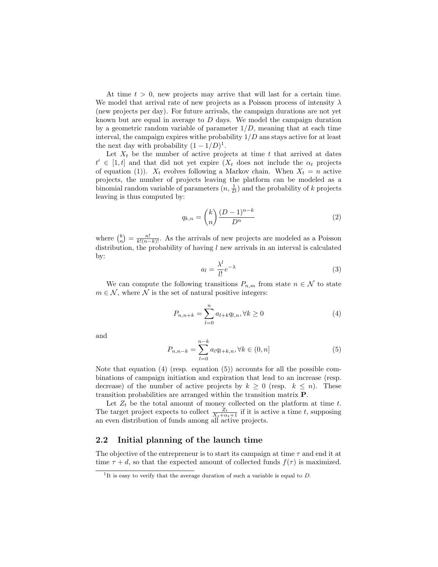At time  $t > 0$ , new projects may arrive that will last for a certain time. We model that arrival rate of new projects as a Poisson process of intensity  $\lambda$ (new projects per day). For future arrivals, the campaign durations are not yet known but are equal in average to D days. We model the campaign duration by a geometric random variable of parameter  $1/D$ , meaning that at each time interval, the campaign expires withe probability  $1/D$  ans stays active for at least the next day with probability  $(1 - 1/D)^1$ .

Let  $X_t$  be the number of active projects at time t that arrived at dates  $t' \in [1, t]$  and that did not yet expire  $(X_t \text{ does not include the } \alpha_t \text{ projects})$ of equation (1)).  $X_t$  evolves following a Markov chain. When  $X_t = n$  active projects, the number of projects leaving the platform can be modeled as a binomial random variable of parameters  $(n, \frac{1}{D})$  and the probability of k projects leaving is thus computed by:

$$
q_{k,n} = \binom{k}{n} \frac{(D-1)^{n-k}}{D^n} \tag{2}
$$

where  $\binom{k}{n} = \frac{n!}{k!(n-k)!}$ . As the arrivals of new projects are modeled as a Poisson distribution, the probability of having  $l$  new arrivals in an interval is calculated by:

$$
a_l = \frac{\lambda^l}{l!} e^{-\lambda} \tag{3}
$$

We can compute the following transitions  $P_{n,m}$  from state  $n \in \mathcal{N}$  to state  $m \in \mathcal{N}$ , where  $\mathcal N$  is the set of natural positive integers:

$$
P_{n,n+k} = \sum_{l=0}^{n} a_{l+k} q_{l,n}, \forall k \ge 0
$$
 (4)

and

$$
P_{n,n-k} = \sum_{l=0}^{n-k} a_l q_{l+k,n}, \forall k \in (0, n]
$$
 (5)

Note that equation (4) (resp. equation (5)) accounts for all the possible combinations of campaign initiation and expiration that lead to an increase (resp. decrease) of the number of active projects by  $k \geq 0$  (resp.  $k \leq n$ ). These transition probabilities are arranged within the transition matrix P.

Let  $Z_t$  be the total amount of money collected on the platform at time t. The target project expects to collect  $\frac{Z_t}{X_t+\alpha_t+1}$  if it is active a time t, supposing an even distribution of funds among all active projects.

### 2.2 Initial planning of the launch time

The objective of the entrepreneur is to start its campaign at time  $\tau$  and end it at time  $\tau + d$ , so that the expected amount of collected funds  $f(\tau)$  is maximized.

<sup>&</sup>lt;sup>1</sup>It is easy to verify that the average duration of such a variable is equal to  $D$ .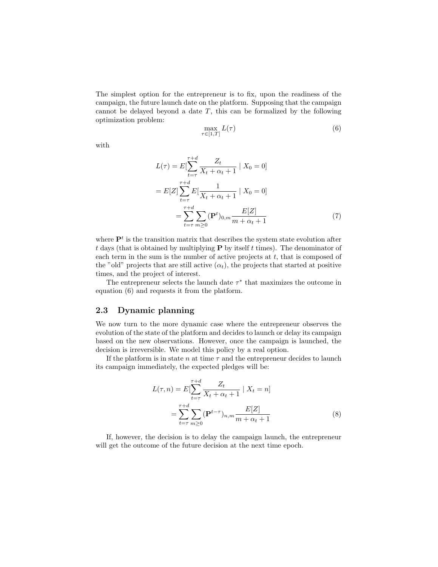The simplest option for the entrepreneur is to fix, upon the readiness of the campaign, the future launch date on the platform. Supposing that the campaign cannot be delayed beyond a date  $T$ , this can be formalized by the following optimization problem:

$$
\max_{\tau \in [1,T]} L(\tau) \tag{6}
$$

with

$$
L(\tau) = E[\sum_{t=\tau}^{\tau+d} \frac{Z_t}{X_t + \alpha_t + 1} | X_0 = 0]
$$
  
= 
$$
E[Z] \sum_{t=\tau}^{\tau+d} E[\frac{1}{X_t + \alpha_t + 1} | X_0 = 0]
$$
  
= 
$$
\sum_{t=\tau}^{\tau+d} \sum_{m \ge 0} (\mathbf{P}^t)_{0,m} \frac{E[Z]}{m + \alpha_t + 1}
$$
(7)

where  $\mathbf{P}^{t}$  is the transition matrix that describes the system state evolution after  $t$  days (that is obtained by multiplying **P** by itself  $t$  times). The denominator of each term in the sum is the number of active projects at  $t$ , that is composed of the "old" projects that are still active  $(\alpha_t)$ , the projects that started at positive times, and the project of interest.

The entrepreneur selects the launch date  $\tau^*$  that maximizes the outcome in equation (6) and requests it from the platform.

### 2.3 Dynamic planning

We now turn to the more dynamic case where the entrepreneur observes the evolution of the state of the platform and decides to launch or delay its campaign based on the new observations. However, once the campaign is launched, the decision is irreversible. We model this policy by a real option.

If the platform is in state n at time  $\tau$  and the entrepreneur decides to launch its campaign immediately, the expected pledges will be:

$$
L(\tau, n) = E[\sum_{t=\tau}^{\tau+d} \frac{Z_t}{X_t + \alpha_t + 1} | X_t = n]
$$
  
= 
$$
\sum_{t=\tau}^{\tau+d} \sum_{m \ge 0} (\mathbf{P}^{t-\tau})_{n,m} \frac{E[Z]}{m + \alpha_t + 1}
$$
 (8)

If, however, the decision is to delay the campaign launch, the entrepreneur will get the outcome of the future decision at the next time epoch.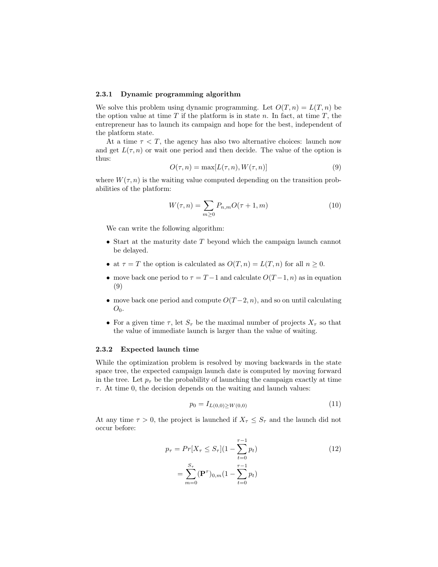#### 2.3.1 Dynamic programming algorithm

We solve this problem using dynamic programming. Let  $O(T, n) = L(T, n)$  be the option value at time  $T$  if the platform is in state  $n$ . In fact, at time  $T$ , the entrepreneur has to launch its campaign and hope for the best, independent of the platform state.

At a time  $\tau < T$ , the agency has also two alternative choices: launch now and get  $L(\tau, n)$  or wait one period and then decide. The value of the option is thus:

$$
O(\tau, n) = \max[L(\tau, n), W(\tau, n)]
$$
\n(9)

where  $W(\tau, n)$  is the waiting value computed depending on the transition probabilities of the platform:

$$
W(\tau, n) = \sum_{m \ge 0} P_{n,m} O(\tau + 1, m)
$$
\n<sup>(10)</sup>

We can write the following algorithm:

- Start at the maturity date  $T$  beyond which the campaign launch cannot be delayed.
- at  $\tau = T$  the option is calculated as  $O(T, n) = L(T, n)$  for all  $n \geq 0$ .
- move back one period to  $\tau = T 1$  and calculate  $O(T 1, n)$  as in equation (9)
- move back one period and compute  $O(T-2, n)$ , and so on until calculating  $O_0$ .
- For a given time  $\tau$ , let  $S_{\tau}$  be the maximal number of projects  $X_{\tau}$  so that the value of immediate launch is larger than the value of waiting.

#### 2.3.2 Expected launch time

While the optimization problem is resolved by moving backwards in the state space tree, the expected campaign launch date is computed by moving forward in the tree. Let  $p_{\tau}$  be the probability of launching the campaign exactly at time  $\tau$ . At time 0, the decision depends on the waiting and launch values:

$$
p_0 = I_{L(0,0)} \ge W(0,0) \tag{11}
$$

At any time  $\tau > 0$ , the project is launched if  $X_{\tau} \leq S_{\tau}$  and the launch did not occur before:

$$
p_{\tau} = Pr[X_{\tau} \le S_{\tau}](1 - \sum_{t=0}^{\tau-1} p_t)
$$
  
= 
$$
\sum_{m=0}^{S_{\tau}} (\mathbf{P}^{\tau})_{0,m} (1 - \sum_{t=0}^{\tau-1} p_t)
$$
 (12)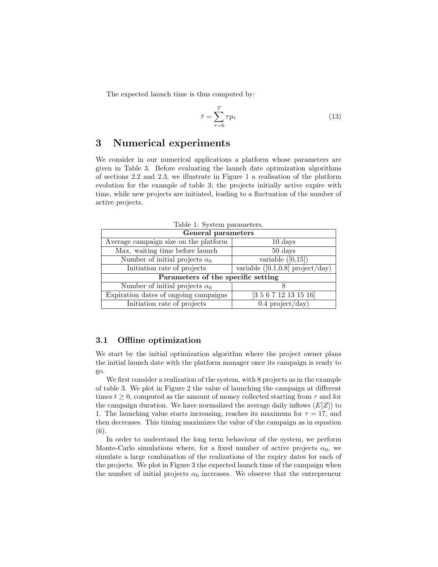The expected launch time is thus computed by:

$$
\bar{\tau} = \sum_{\tau=0}^{T} \tau p_{\tau} \tag{13}
$$

# 3 Numerical experiments

We consider in our numerical applications a platform whose parameters are given in Table 3. Before evaluating the launch date optimization algorithms of sections 2.2 and 2.3, we illustrate in Figure 1 a realisation of the platform evolution for the example of table 3; the projects initially active expire with time, while new projects are initiated, leading to a fluctuation of the number of active projects.

| General parameters                    |                                     |
|---------------------------------------|-------------------------------------|
| Average campaign size on the platform | $10 \ \mathrm{days}$                |
| Max. waiting time before launch       | $50 \ \mathrm{days}$                |
| Number of initial projects $\alpha_0$ | variable $([0,15])$                 |
| Initiation rate of projects           | variable $([0.1, 0.8]$ project/day) |
| Parameters of the specific setting    |                                     |
| Number of initial projects $\alpha_0$ |                                     |
| Expiration dates of ongoing campaigns | [3 5 6 7 12 13 15 16]               |
| Initiation rate of projects           | $0.4$ project/day)                  |

Table 1: System parameters.

### 3.1 Offline optimization

We start by the initial optimization algorithm where the project owner plans the initial launch date with the platform manager once its campaign is ready to go.

We first consider a realization of the system, with 8 projects as in the example of table 3. We plot in Figure 2 the value of launching the campaign at different times  $t \geq 0$ , computed as the amount of money collected starting from  $\tau$  and for the campaign duration. We have normalized the average daily inflows  $(E[Z])$  to 1. The launching value starts increasing, reaches its maximum for  $\tau = 17$ , and then decreases. This timing maximizes the value of the campaign as in equation (6).

In order to understand the long term behaviour of the system, we perform Monte-Carlo simulations where, for a fixed number of active projects  $\alpha_0$ , we simulate a large combination of the realizations of the expiry dates for each of the projects. We plot in Figure 3 the expected launch time of the campaign when the number of initial projects  $\alpha_0$  increases. We observe that the entrepreneur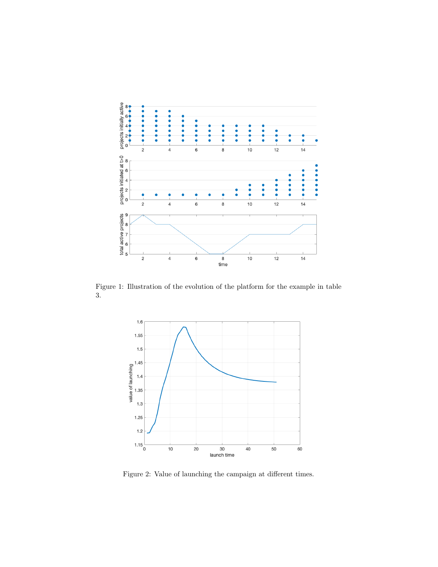

Figure 1: Illustration of the evolution of the platform for the example in table 3.



Figure 2: Value of launching the campaign at different times.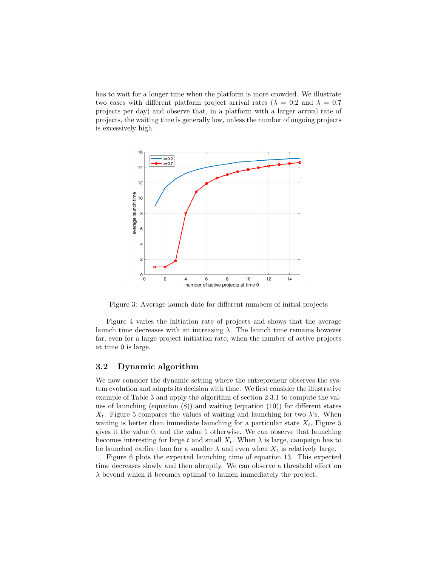has to wait for a longer time when the platform is more crowded. We illustrate two cases with different platform project arrival rates ( $\lambda = 0.2$  and  $\lambda = 0.7$ ) projects per day) and observe that, in a platform with a larger arrival rate of projects, the waiting time is generally low, unless the number of ongoing projects is excessively high.



Figure 3: Average launch date for different numbers of initial projects

Figure 4 varies the initiation rate of projects and shows that the average launch time decreases with an increasing  $\lambda$ . The launch time remains however far, even for a large project initiation rate, when the number of active projects at time 0 is large.

### 3.2 Dynamic algorithm

We now consider the dynamic setting where the entrepreneur observes the system evolution and adapts its decision with time. We first consider the illustrative example of Table 3 and apply the algorithm of section 2.3.1 to compute the values of launching (equation  $(8)$ ) and waiting (equation  $(10)$ ) for different states  $X_t$ . Figure 5 compares the values of waiting and launching for two  $\lambda$ 's. When waiting is better than immediate launching for a particular state  $X_t$ , Figure 5 gives it the value 0, and the value 1 otherwise. We can observe that launching becomes interesting for large t and small  $X_t$ . When  $\lambda$  is large, campaign has to be launched earlier than for a smaller  $\lambda$  and even when  $X_t$  is relatively large.

Figure 6 plots the expected launching time of equation 13. This expected time decreases slowly and then abruptly. We can observe a threshold effect on  $\lambda$  beyond which it becomes optimal to launch immediately the project.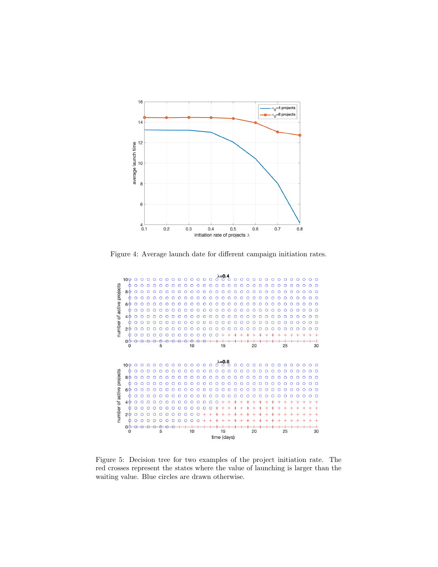

Figure 4: Average launch date for different campaign initiation rates.



Figure 5: Decision tree for two examples of the project initiation rate. The red crosses represent the states where the value of launching is larger than the waiting value. Blue circles are drawn otherwise.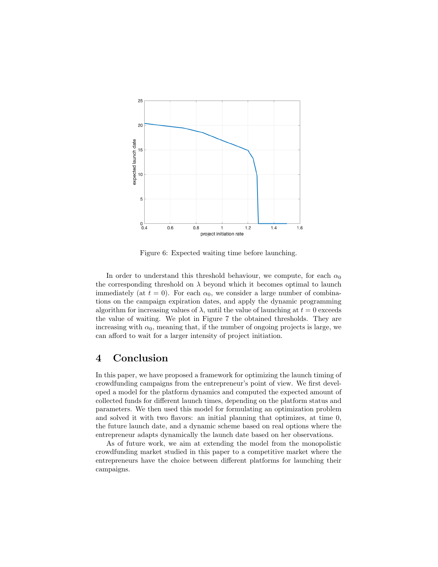

Figure 6: Expected waiting time before launching.

In order to understand this threshold behaviour, we compute, for each  $\alpha_0$ the corresponding threshold on  $\lambda$  beyond which it becomes optimal to launch immediately (at  $t = 0$ ). For each  $\alpha_0$ , we consider a large number of combinations on the campaign expiration dates, and apply the dynamic programming algorithm for increasing values of  $\lambda$ , until the value of launching at  $t = 0$  exceeds the value of waiting. We plot in Figure 7 the obtained thresholds. They are increasing with  $\alpha_0$ , meaning that, if the number of ongoing projects is large, we can afford to wait for a larger intensity of project initiation.

# 4 Conclusion

In this paper, we have proposed a framework for optimizing the launch timing of crowdfunding campaigns from the entrepreneur's point of view. We first developed a model for the platform dynamics and computed the expected amount of collected funds for different launch times, depending on the platform status and parameters. We then used this model for formulating an optimization problem and solved it with two flavors: an initial planning that optimizes, at time 0, the future launch date, and a dynamic scheme based on real options where the entrepreneur adapts dynamically the launch date based on her observations.

As of future work, we aim at extending the model from the monopolistic crowdfunding market studied in this paper to a competitive market where the entrepreneurs have the choice between different platforms for launching their campaigns.